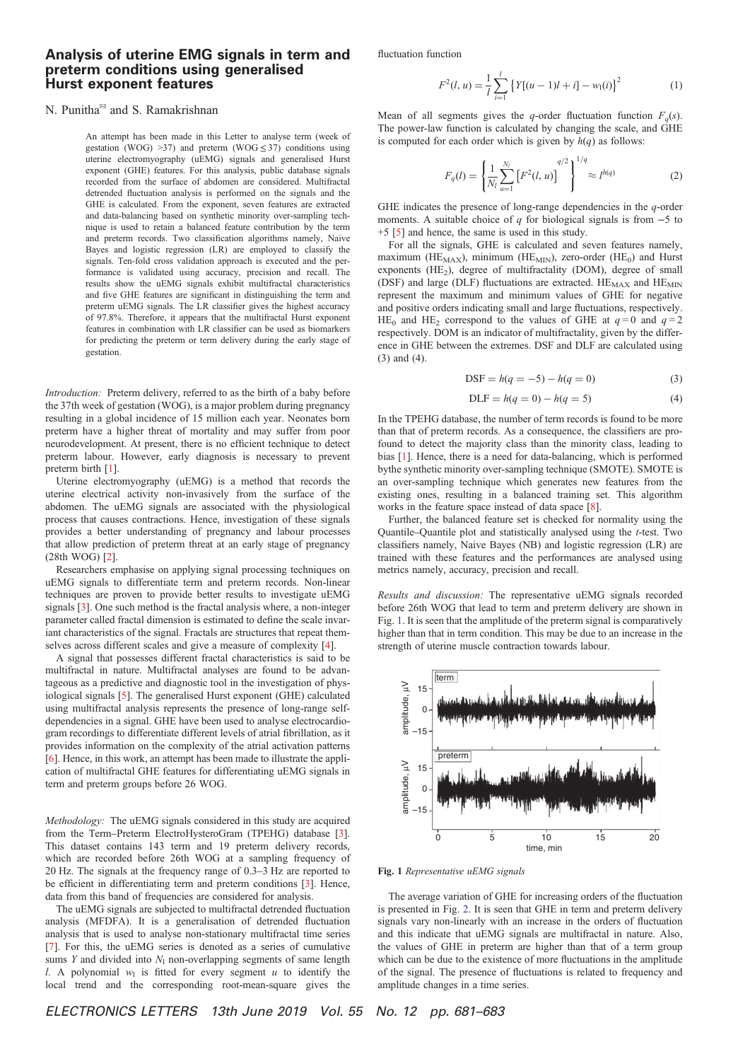## Analysis of uterine EMG signals in term and preterm conditions using generalised Hurst exponent features

## N. Punitha<sup>⊠</sup> and S. Ramakrishnan

An attempt has been made in this Letter to analyse term (week of gestation (WOG) > 37) and preterm (WOG  $\leq$  37) conditions using uterine electromyography (uEMG) signals and generalised Hurst exponent (GHE) features. For this analysis, public database signals recorded from the surface of abdomen are considered. Multifractal detrended fluctuation analysis is performed on the signals and the GHE is calculated. From the exponent, seven features are extracted and data-balancing based on synthetic minority over-sampling technique is used to retain a balanced feature contribution by the term and preterm records. Two classification algorithms namely, Naive Bayes and logistic regression (LR) are employed to classify the signals. Ten-fold cross validation approach is executed and the performance is validated using accuracy, precision and recall. The results show the uEMG signals exhibit multifractal characteristics and five GHE features are significant in distinguishing the term and preterm uEMG signals. The LR classifier gives the highest accuracy of 97.8%. Therefore, it appears that the multifractal Hurst exponent features in combination with LR classifier can be used as biomarkers for predicting the preterm or term delivery during the early stage of gestation.

*Introduction:* Preterm delivery, referred to as the birth of a baby before the 37th week of gestation (WOG), is a major problem during pregnancy resulting in a global incidence of 15 million each year. Neonates born preterm have a higher threat of mortality and may suffer from poor neurodevelopment. At present, there is no efficient technique to detect preterm labour. However, early diagnosis is necessary to prevent preterm birth [1].

Uterine electromyography (uEMG) is a method that records the uterine electrical activity non-invasively from the surface of the abdomen. The uEMG signals are associated with the physiological process that causes contractions. Hence, investigation of these signals provides a better understanding of pregnancy and labour processes that allow prediction of preterm threat at an early stage of pregnancy (28th WOG) [2].

Researchers emphasise on applying signal processing techniques on uEMG signals to differentiate term and preterm records. Non-linear techniques are proven to provide better results to investigate uEMG signals [3]. One such method is the fractal analysis where, a non-integer parameter called fractal dimension is estimated to define the scale invariant characteristics of the signal. Fractals are structures that repeat themselves across different scales and give a measure of complexity [4].

A signal that possesses different fractal characteristics is said to be multifractal in nature. Multifractal analyses are found to be advantageous as a predictive and diagnostic tool in the investigation of physiological signals [5]. The generalised Hurst exponent (GHE) calculated using multifractal analysis represents the presence of long-range selfdependencies in a signal. GHE have been used to analyse electrocardiogram recordings to differentiate different levels of atrial fibrillation, as it provides information on the complexity of the atrial activation patterns [6]. Hence, in this work, an attempt has been made to illustrate the application of multifractal GHE features for differentiating uEMG signals in term and preterm groups before 26 WOG.

*Methodology:* The uEMG signals considered in this study are acquired from the Term–Preterm ElectroHysteroGram (TPEHG) database [3]. This dataset contains 143 term and 19 preterm delivery records, which are recorded before 26th WOG at a sampling frequency of 20 Hz. The signals at the frequency range of 0.3–3 Hz are reported to be efficient in differentiating term and preterm conditions [3]. Hence, data from this band of frequencies are considered for analysis.

The uEMG signals are subjected to multifractal detrended fluctuation analysis (MFDFA). It is a generalisation of detrended fluctuation analysis that is used to analyse non-stationary multifractal time series [7]. For this, the uEMG series is denoted as a series of cumulative sums *Y* and divided into  $N_1$  non-overlapping segments of same length *l*. A polynomial  $w_1$  is fitted for every segment  $u$  to identify the local trend and the corresponding root-mean-square gives the fluctuation function

$$
F^{2}(l, u) = \frac{1}{l} \sum_{i=1}^{l} \left\{ Y[(u-1)l + i] - w_{1}(i) \right\}^{2}
$$
 (1)

Mean of all segments gives the *q*-order fluctuation function  $F_q(s)$ . The power-law function is calculated by changing the scale, and GHE is computed for each order which is given by  $h(q)$  as follows:

$$
F_q(l) = \left\{ \frac{1}{N_l} \sum_{u=1}^{N_l} \left[ F^2(l, u) \right]^{q/2} \right\}^{1/q} \approx l^{h(q)}
$$
 (2)

GHE indicates the presence of long-range dependencies in the *q*-order moments. A suitable choice of *q* for biological signals is from −5 to +5 [5] and hence, the same is used in this study.

For all the signals, GHE is calculated and seven features namely, maximum ( $HE_{MAX}$ ), minimum ( $HE_{MIN}$ ), zero-order ( $HE_0$ ) and Hurst exponents (HE<sub>2</sub>), degree of multifractality (DOM), degree of small (DSF) and large (DLF) fluctuations are extracted.  $HE_{MAX}$  and  $HE_{MIN}$ represent the maximum and minimum values of GHE for negative and positive orders indicating small and large fluctuations, respectively. HE<sub>0</sub> and HE<sub>2</sub> correspond to the values of GHE at  $q=0$  and  $q=2$ respectively. DOM is an indicator of multifractality, given by the difference in GHE between the extremes. DSF and DLF are calculated using (3) and (4).

$$
DSF = h(q = -5) - h(q = 0)
$$
 (3)

$$
DLF = h(q = 0) - h(q = 5)
$$
 (4)

In the TPEHG database, the number of term records is found to be more than that of preterm records. As a consequence, the classifiers are profound to detect the majority class than the minority class, leading to bias [1]. Hence, there is a need for data-balancing, which is performed bythe synthetic minority over-sampling technique (SMOTE). SMOTE is an over-sampling technique which generates new features from the existing ones, resulting in a balanced training set. This algorithm works in the feature space instead of data space [8].

Further, the balanced feature set is checked for normality using the Quantile–Quantile plot and statistically analysed using the *t*-test. Two classifiers namely, Naive Bayes (NB) and logistic regression (LR) are trained with these features and the performances are analysed using metrics namely, accuracy, precision and recall.

*Results and discussion:* The representative uEMG signals recorded before 26th WOG that lead to term and preterm delivery are shown in Fig. 1. It is seen that the amplitude of the preterm signal is comparatively higher than that in term condition. This may be due to an increase in the strength of uterine muscle contraction towards labour.



Fig. 1 *Representative uEMG signals*

The average variation of GHE for increasing orders of the fluctuation is presented in Fig. 2. It is seen that GHE in term and preterm delivery signals vary non-linearly with an increase in the orders of fluctuation and this indicate that uEMG signals are multifractal in nature. Also, the values of GHE in preterm are higher than that of a term group which can be due to the existence of more fluctuations in the amplitude of the signal. The presence of fluctuations is related to frequency and amplitude changes in a time series.

ELECTRONICS LETTERS 13th June 2019 Vol. 55 No. 12 pp. 681–683